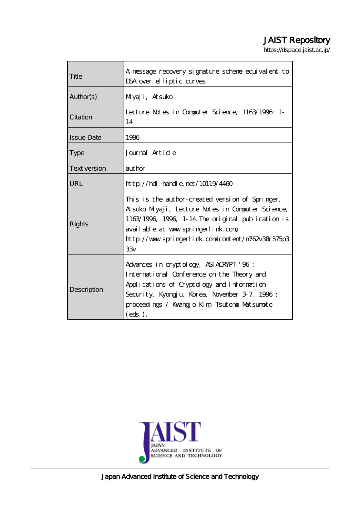# JAIST Repository

https://dspace.jaist.ac.jp/

| Title               | A nessage recovery signature scheme equivalent to<br>DSA over elliptic curves                                                                                                                                                                              |
|---------------------|------------------------------------------------------------------------------------------------------------------------------------------------------------------------------------------------------------------------------------------------------------|
| Author(s)           | Miyaji, Atsuko                                                                                                                                                                                                                                             |
| Citation            | Lecture Notes in Computer Science, 1163/1996; 1-<br>14                                                                                                                                                                                                     |
| <b>Issue Date</b>   | 1996                                                                                                                                                                                                                                                       |
| <b>Type</b>         | Journal Article                                                                                                                                                                                                                                            |
| <b>Text version</b> | author                                                                                                                                                                                                                                                     |
| URL                 | http://hdl.handle.net/10119/4460                                                                                                                                                                                                                           |
| Rights              | This is the author-created version of Springer,<br>Atsuko Miyaji, Lecture Notes in Computer Science,<br>1163/1996, 1996, 1-14 The original publication is<br>available at www.springerlink.com<br>http://www.springerlink.com/content/m762v38r575p3<br>33v |
| Description         | Advances in cryptology, ASIACRYPT '96:<br>International Conference on the Theory and<br>Applications of Cryptology and Information<br>Security, Kyongju, Korea, Novenber 37, 1996:<br>proceedings / Kwangjo Kim, Tsutonu Matsunoto<br>$(\text{eds.})$ .    |

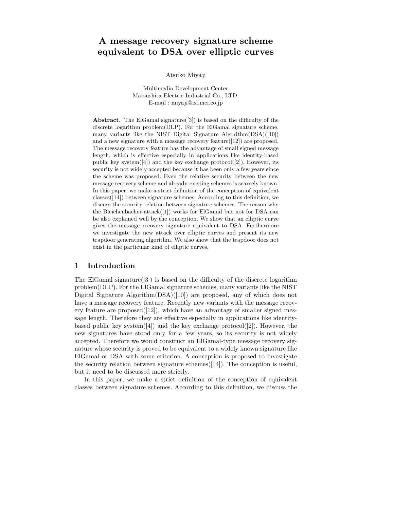# **A message recovery signature scheme equivalent to DSA over elliptic curves**

Atsuko Miyaji

Multimedia Development Center Matsushita Electric Industrial Co., LTD. E-mail : miyaji@isl.mei.co.jp

**Abstract.** The ElGamal signature([3]) is based on the difficulty of the discrete logarithm problem(DLP). For the ElGamal signature scheme, many variants like the NIST Digital Signature Algorithm(DSA)([10]) and a new signature with a message recovery feature([12]) are proposed. The message recovery feature has the advantage of small signed message length, which is effective especially in applications like identity-based public key system $([4])$  and the key exchange protocol $([2])$ . However, its security is not widely accepted because it has been only a few years since the scheme was proposed. Even the relative security between the new message recovery scheme and already-existing schemes is scarcely known. In this paper, we make a strict definition of the conception of equivalent classes([14]) between signature schemes. According to this definition, we discuss the security relation between signature schemes. The reason why the Bleichenbacher-attack([1]) works for ElGamal but not for DSA can be also explained well by the conception. We show that an elliptic curve gives the message recovery signature equivalent to DSA. Furthermore we investigate the new attack over elliptic curves and present its new trapdoor generating algorithm. We also show that the trapdoor does not exist in the particular kind of elliptic curves.

## **1 Introduction**

The ElGamal signature( $[3]$ ) is based on the difficulty of the discrete logarithm problem(DLP). For the ElGamal signature schemes, many variants like the NIST Digital Signature Algorithm(DSA)([10]) are proposed, any of which does not have a message recovery feature. Recently new variants with the message recovery feature are proposed $([12])$ , which have an advantage of smaller signed message length. Therefore they are effective especially in applications like identitybased public key system $([4])$  and the key exchange protocol $([2])$ . However, the new signatures have stood only for a few years, so its security is not widely accepted. Therefore we would construct an ElGamal-type message recovery signature whose security is proved to be equivalent to a widely known signature like ElGamal or DSA with some criterion. A conception is proposed to investigate the security relation between signature schemes([14]). The conception is useful, but it need to be discussed more strictly.

In this paper, we make a strict definition of the conception of equivalent classes between signature schemes. According to this definition, we discuss the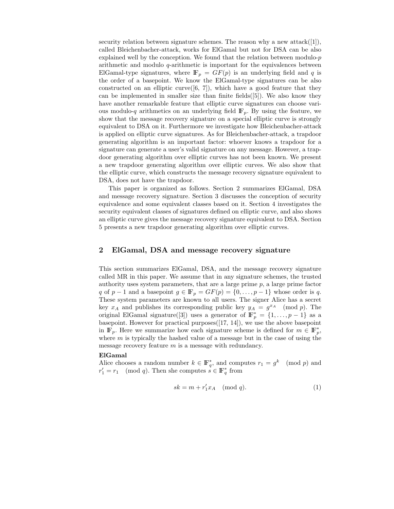security relation between signature schemes. The reason why a new  $\text{attack}([1])$ , called Bleichenbacher-attack, works for ElGamal but not for DSA can be also explained well by the conception. We found that the relation between modulo-p arithmetic and modulo q-arithmetic is important for the equivalences between ElGamal-type signatures, where  $\mathbb{F}_p = GF(p)$  is an underlying field and q is the order of a basepoint. We know the ElGamal-type signatures can be also constructed on an elliptic curve  $(6, 7)$ , which have a good feature that they can be implemented in smaller size than finite fields([5]). We also know they have another remarkable feature that elliptic curve signatures can choose various modulo-q arithmetics on an underlying field  $\mathbb{F}_p$ . By using the feature, we show that the message recovery signature on a special elliptic curve is strongly equivalent to DSA on it. Furthermore we investigate how Bleichenbacher-attack is applied on elliptic curve signatures. As for Bleichenbacher-attack, a trapdoor generating algorithm is an important factor: whoever knows a trapdoor for a signature can generate a user's valid signature on any message. However, a trapdoor generating algorithm over elliptic curves has not been known. We present a new trapdoor generating algorithm over elliptic curves. We also show that the elliptic curve, which constructs the message recovery signature equivalent to DSA, does not have the trapdoor.

This paper is organized as follows. Section 2 summarizes ElGamal, DSA and message recovery signature. Section 3 discusses the conception of security equivalence and some equivalent classes based on it. Section 4 investigates the security equivalent classes of signatures defined on elliptic curve, and also shows an elliptic curve gives the message recovery signature equivalent to DSA. Section 5 presents a new trapdoor generating algorithm over elliptic curves.

# **2 ElGamal, DSA and message recovery signature**

This section summarizes ElGamal, DSA, and the message recovery signature called MR in this paper. We assume that in any signature schemes, the trusted authority uses system parameters, that are a large prime  $p$ , a large prime factor q of  $p-1$  and a basepoint  $g \in \mathbb{F}_p = GF(p) = \{0, \ldots, p-1\}$  whose order is q. These system parameters are known to all users. The signer Alice has a secret key  $x_A$  and publishes its corresponding public key  $y_A = g^{x_A} \pmod{p}$ . The original ElGamal signature([3]) uses a generator of  $\mathbb{F}_p^* = \{1, \ldots, p-1\}$  as a hasometric However for practical purposes([17, 14]), we use the above basement basepoint. However for practical purposes $([17, 14])$ , we use the above basepoint in  $\mathbb{F}_p$ . Here we summarize how each signature scheme is defined for  $m \in \mathbb{F}_p^*$ , where m is typically the bashed value of a message but in the case of using the where  $m$  is typically the hashed value of a message but in the case of using the message recovery feature  $m$  is a message with redundancy.

#### **ElGamal**

Alice chooses a random number  $k \in \mathbb{F}_q^*$ , and computes  $r_1 = g^k \pmod{p}$  and  $r' = r_k \pmod{q}$ . Then she computes  $s \in \mathbb{F}^*$  from  $r'_1 = r_1 \pmod{q}$ . Then she computes  $s \in \mathbb{F}_q^*$  from

$$
sk = m + r'_1 x_A \pmod{q}.\tag{1}
$$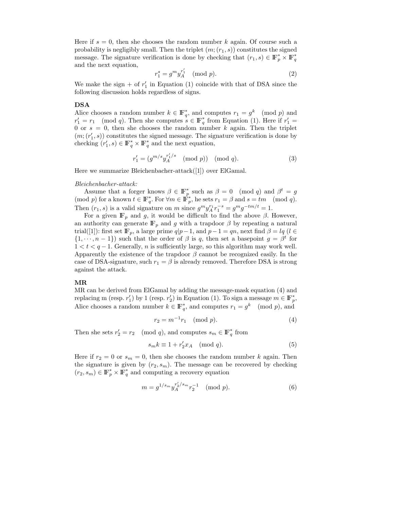Here if  $s = 0$ , then she chooses the random number k again. Of course such a probability is negligibly small. Then the triplet  $(m; (r_1, s))$  constitutes the signed message. The signature verification is done by checking that  $(r_1, s) \in \mathbb{F}_p^* \times \mathbb{F}_q^*$ <br>and the next equation and the next equation,

$$
r_1^s = g^m y_A^{r_1'} \pmod{p}.
$$
 (2)

We make the sign  $+$  of  $r'_1$  in Equation (1) coincide with that of DSA since the following discussion holds regardless of signs following discussion holds regardless of signs.

#### **DSA**

Alice chooses a random number  $k \in \mathbb{F}_q^*$ , and computes  $r_1 = g^k \pmod{p}$  and  $r' = r_1 \pmod{q}$ . Then she computes  $\varepsilon \in \mathbb{F}^*$  from Equation (1). Here if  $r' =$  $r'_1 = r_1 \pmod{q}$ . Then she computes  $s \in \mathbb{F}_q^*$  from Equation (1). Here if  $r'_1 = 0$  or  $s = 0$ , then she chooses the random number k again. Then the triplet 0 or  $s = 0$ , then she chooses the random number k again. Then the triplet  $(m; (r'_1, s))$  constitutes the signed message. The signature verification is done by checking  $(r' \, s) \in \mathbb{F}^* \times \mathbb{F}^*$  and the next equation checking  $(r'_1, s) \in \mathbb{F}_q^* \times \mathbb{F}_q^*$  and the next equation,

$$
r'_1 = (g^{m/s} y_A^{r'_1/s} \pmod{p}) \pmod{q}.
$$
 (3)

Here we summarize Bleichenbacher-attack([1]) over ElGamal.

#### *Bleichenbacher-attack:*

Assume that a forger knows  $\beta \in \mathbb{F}_p^*$  such as  $\beta = 0 \pmod{q}$  and  $\beta^t = g$ <br>od n) for a known  $t \in \mathbb{F}_p^*$  For  $\forall m \in \mathbb{F}_p^*$  be sets  $r_n = \beta$  and  $s = tm \pmod{q}$  $p(\text{mod } p)$  for a known  $t \in \mathbb{F}_q^*$ . For  $\forall m \in \mathbb{F}_p^*$ , he sets  $r_1 = \beta$  and  $s = tm \pmod{q}$ .<br>Then  $(p, s)$  is a valid signature on m since  $s^{m}n!s^{-s}$ ,  $s^{m} s^{-tm/t}$ , 1 Then  $(r_1, s)$  is a valid signature on m since  $g^m y_A^n r_1^{-s} = g^m g^{-tm/t} = 1$ .<br>For a given  $\mathbb{F}$  and g it would be difficult to find the above  $\beta$ .

For a given  $\mathbb{F}_p$  and g, it would be difficult to find the above  $\beta$ . However, an authority can generate  $\mathbb{F}_p$  and g with a trapdoor  $\beta$  by repeating a natural trial([1]): first set  $\mathbb{F}_p$ , a large prime  $q|p-1$ , and  $p-1 = qn$ , next find  $\beta = lq$  ( $l \in$  $\{1, \dots, n-1\}$  such that the order of  $\beta$  is q, then set a basepoint  $g = \beta^t$  for  $1 < t < q - 1$ . Generally, n is sufficiently large, so this algorithm may work well. Apparently the existence of the trapdoor  $\beta$  cannot be recognized easily. In the case of DSA-signature, such  $r_1 = \beta$  is already removed. Therefore DSA is strong against the attack.

#### **MR**

MR can be derived from ElGamal by adding the message-mask equation (4) and replacing m (resp. r<sub>1</sub>') by 1 (resp. r<sub>2</sub>') in Equation (1). To sign a message  $m \in \mathbb{F}_p^*$ ,<br>Alice shapes a madam number  $h \in \mathbb{F}_p^*$  and semplies  $n = g^k$  (mod n) and Alice chooses a random number  $k \in \mathbb{F}_q^*$ , and computes  $r_1 = g^k \pmod{p}$ , and

$$
r_2 = m^{-1}r_1 \pmod{p}.
$$
 (4)

Then she sets  $r'_2 = r_2 \pmod{q}$ , and computes  $s_m \in \mathbb{F}_q^*$  from

$$
s_m k \equiv 1 + r_2' x_A \pmod{q}.\tag{5}
$$

Here if  $r_2 = 0$  or  $s_m = 0$ , then she chooses the random number k again. Then the signature is given by  $(r_2, s_m)$ . The message can be recovered by checking  $(r_2, s_m) \in \mathbb{F}_p^* \times \mathbb{F}_q^*$  and computing a recovery equation

$$
m = g^{1/s_m} y_A^{r_2'/s_m} r_2^{-1} \pmod{p}.
$$
 (6)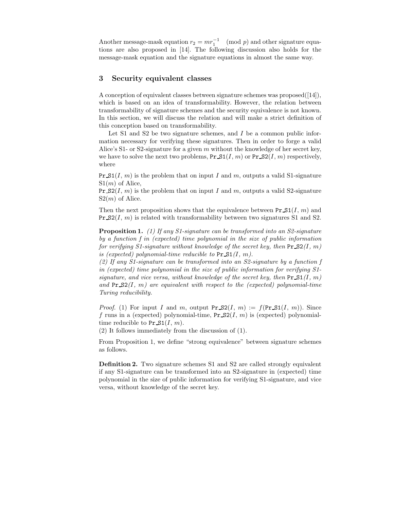Another message-mask equation  $r_2 = mr_1^{-1} \pmod{p}$  and other signature equations are also proposed in [14]. The following discussion also holds for the tions are also proposed in [14]. The following discussion also holds for the message-mask equation and the signature equations in almost the same way.

# **3 Security equivalent classes**

A conception of equivalent classes between signature schemes was proposed([14]), which is based on an idea of transformability. However, the relation between transformability of signature schemes and the security equivalence is not known. In this section, we will discuss the relation and will make a strict definition of this conception based on transformability.

Let  $S1$  and  $S2$  be two signature schemes, and  $I$  be a common public information necessary for verifying these signatures. Then in order to forge a valid Alice's S1- or S2-signature for a given m without the knowledge of her secret key, we have to solve the next two problems,  $Pr_S1(I, m)$  or  $Pr_S2(I, m)$  respectively, where

Pr  $\mathcal{S}_1(I, m)$  is the problem that on input I and m, outputs a valid S1-signature  $S1(m)$  of Alice,

Pr  $S(1, m)$  is the problem that on input I and m, outputs a valid S2-signature  $S2(m)$  of Alice.

Then the next proposition shows that the equivalence between  $Pr\mathcal{S1}(I, m)$  and  $Pr_S(1, m)$  is related with transformability between two signatures S1 and S2.

**Proposition 1.** *(1) If any S1-signature can be transformed into an S2-signature by a function f in (expected) time polynomial in the size of public information for verifying S1-signature without knowledge of the secret key, then*  $Pr_S(1, m)$ *is (expected) polynomial-time reducible to*  $Pr S1(I, m)$ .

*(2) If any S1-signature can be transformed into an S2-signature by a function f in (expected) time polynomial in the size of public information for verifying S1 signature, and vice versa, without knowledge of the secret key, then*  $Pr_S1(I, m)$ and  $Pr_S(1, m)$  are equivalent with respect to the (expected) polynomial-time *Turing reducibility.*

*Proof.* (1) For input I and m, output Pr  $S2(I, m) := f(Pr \ S1(I, m))$ . Since f runs in a (expected) polynomial-time,  $Pr_S(1, m)$  is (expected) polynomialtime reducible to  $Pr_S1(I, m)$ .

(2) It follows immediately from the discussion of (1).

From Proposition 1, we define "strong equivalence" between signature schemes as follows.

**Definition 2.** Two signature schemes S1 and S2 are called strongly equivalent if any S1-signature can be transformed into an S2-signature in (expected) time polynomial in the size of public information for verifying S1-signature, and vice versa, without knowledge of the secret key.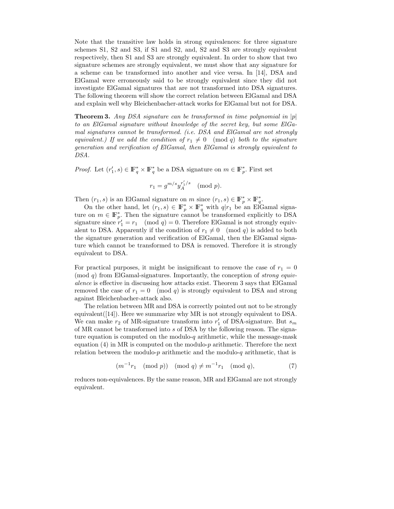Note that the transitive law holds in strong equivalences: for three signature schemes S1, S2 and S3, if S1 and S2, and, S2 and S3 are strongly equivalent respectively, then S1 and S3 are strongly equivalent. In order to show that two signature schemes are strongly equivalent, we must show that any signature for a scheme can be transformed into another and vice versa. In [14], DSA and ElGamal were erroneously said to be strongly equivalent since they did not investigate ElGamal signatures that are not transformed into DSA signatures. The following theorem will show the correct relation between ElGamal and DSA and explain well why Bleichenbacher-attack works for ElGamal but not for DSA.

**Theorem 3.** *Any DSA signature can be transformed in time polynomial in* <sup>|</sup>p<sup>|</sup> *to an ElGamal signature without knowledge of the secret key, but some ElGamal signatures cannot be transformed. (i.e. DSA and ElGamal are not strongly equivalent.) If we add the condition of*  $r_1 \neq 0 \pmod{q}$  *both to the signature exerction and verification of ElGamal then ElGamal is strongly equivalent to generation and verification of ElGamal, then ElGamal is strongly equivalent to DSA.*

*Proof.* Let  $(r'_1, s) \in \mathbb{F}_q^* \times \mathbb{F}_q^*$  be a DSA signature on  $m \in \mathbb{F}_p^*$ . First set

$$
r_1 = g^{m/s} y_A^{r_1'/s} \pmod{p}.
$$

Then  $(r_1, s)$  is an ElGamal signature on m since  $(r_1, s) \in \mathbb{F}_p^* \times \mathbb{F}_q^*$ .<br>On the other hand, let  $(r_1, s) \in \mathbb{F}_q^* \times \mathbb{F}_q^*$  with also an ElG

On the other hand, let  $(r_1, s) \in \mathbb{F}_p^* \times \mathbb{F}_q^*$  with  $q|r_1$  be an ElGamal signa-<br>a on  $m \in \mathbb{F}^*$ . Then the signature cannot be transformed explicitly to DSA ture on  $m \in \mathbb{F}_p^*$ . Then the signature cannot be transformed explicitly to DSA signature since  $r' = r$ . (mod  $q = 0$ ) Therefore ElGamal is not strongly equivsignature since  $r'_1 = r_1 \pmod{q} = 0$ . Therefore ElGamal is not strongly equiv-<br>along to DSA. Apparently if the condition of  $r_1 \neq 0 \pmod{q}$  is added to both alent to DSA. Apparently if the condition of  $r_1 \neq 0 \pmod{q}$  is added to both the signature generation and verification of ElGamal, then the ElGamal signathe signature generation and verification of ElGamal, then the ElGamal signature which cannot be transformed to DSA is removed. Therefore it is strongly equivalent to DSA.

For practical purposes, it might be insignificant to remove the case of  $r_1 = 0$ (mod q) from ElGamal-signatures. Importantly, the conception of *strong equivalence* is effective in discussing how attacks exist. Theorem 3 says that ElGamal removed the case of  $r_1 = 0 \pmod{q}$  is strongly equivalent to DSA and strong against Bleichenbacher-attack also.

The relation between MR and DSA is correctly pointed out not to be strongly equivalent([14]). Here we summarize why MR is not strongly equivalent to DSA. We can make  $r_2$  of MR-signature transform into  $r'_1$  of DSA-signature. But  $s_m$ <br>of MR cannot be transformed into s of DSA by the following reason. The signaof MR cannot be transformed into s of DSA by the following reason. The signature equation is computed on the modulo-q arithmetic, while the message-mask equation  $(4)$  in MR is computed on the modulo-p arithmetic. Therefore the next relation between the modulo-p arithmetic and the modulo-q arithmetic, that is

$$
(m^{-1}r_1 \pmod{p}) \pmod{q} \neq m^{-1}r_1 \pmod{q},
$$
 (7)

reduces non-equivalences. By the same reason, MR and ElGamal are not strongly equivalent.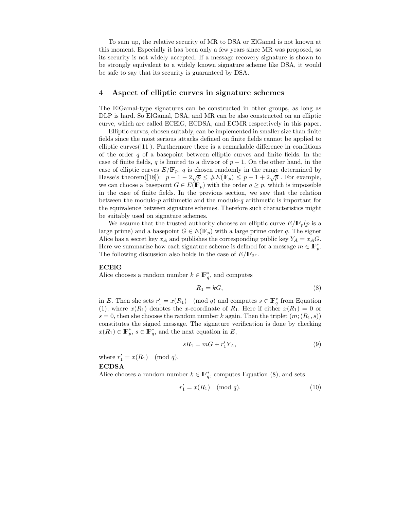To sum up, the relative security of MR to DSA or ElGamal is not known at this moment. Especially it has been only a few years since MR was proposed, so its security is not widely accepted. If a message recovery signature is shown to be strongly equivalent to a widely known signature scheme like DSA, it would be safe to say that its security is guaranteed by DSA.

# **4 Aspect of elliptic curves in signature schemes**

The ElGamal-type signatures can be constructed in other groups, as long as DLP is hard. So ElGamal, DSA, and MR can be also constructed on an elliptic curve, which are called ECElG, ECDSA, and ECMR respectively in this paper.

Elliptic curves, chosen suitably, can be implemented in smaller size than finite fields since the most serious attacks defined on finite fields cannot be applied to elliptic curves $(11)$ . Furthermore there is a remarkable difference in conditions of the order  $q$  of a basepoint between elliptic curves and finite fields. In the case of finite fields, q is limited to a divisor of  $p-1$ . On the other hand, in the case of elliptic curves  $E/\mathbb{F}_p$ , q is chosen randomly in the range determined by Hasse's theorem([18]):  $p + 1 - 2\sqrt{p} \leq \#E(\mathbb{F}_p) \leq p + 1 + 2\sqrt{p}$ . For example,<br>we can choose a basepoint  $G \subseteq E(\mathbb{F})$  with the order  $a \geq n$  which is impossible we can choose a basepoint  $G \in E(\mathbb{F}_p)$  with the order  $q \geq p$ , which is impossible in the case of finite fields. In the previous section, we saw that the relation between the modulo- $p$  arithmetic and the modulo- $q$  arithmetic is important for the equivalence between signature schemes. Therefore such characteristics might be suitably used on signature schemes.

We assume that the trusted authority chooses an elliptic curve  $E/\mathbb{F}_p(p)$  is a large prime) and a basepoint  $G \in E(\mathbb{F}_p)$  with a large prime order q. The signer Alice has a secret key  $x_A$  and publishes the corresponding public key  $Y_A = x_A G$ . Here we summarize how each signature scheme is defined for a message  $m \in \mathbb{F}_p^*$ .<br>The following discussion also holds in the case of  $E/\mathbb{F}_{\text{ex}}$ . The following discussion also holds in the case of  $E/\mathbb{F}_{2r}$ .

#### **ECElG**

Alice chooses a random number  $k \in \mathbb{F}_q^*$ , and computes

$$
R_1 = kG,\t\t(8)
$$

in E. Then she sets  $r'_1 = x(R_1) \pmod{q}$  and computes  $s \in \mathbb{F}_q^*$  from Equation (1) where  $x(R_1)$  denotes the x-coordinate of R. Here if either  $x(R_1) = 0$  or (1), where  $x(R_1)$  denotes the x-coordinate of  $R_1$ . Here if either  $x(R_1) = 0$  or  $s = 0$ , then she chooses the random number k again. Then the triplet  $(m; (R_1, s))$ constitutes the signed message. The signature verification is done by checking  $x(R_1) \in \mathbb{F}_p^*, s \in \mathbb{F}_q^*,$  and the next equation in E,

$$
sR_1 = mG + r'_1 Y_A,\tag{9}
$$

where  $r'_1 = x(R_1) \pmod{q}$ .

#### **ECDSA**

Alice chooses a random number  $k \in \mathbb{F}_q^*$ , computes Equation (8), and sets

$$
r'_1 = x(R_1) \pmod{q}.
$$
 (10)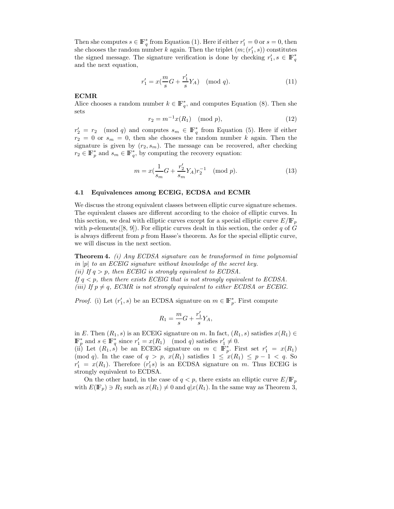Then she computes  $s \in \mathbb{F}_q^*$  from Equation (1). Here if either  $r'_1 = 0$  or  $s = 0$ , then<br>she chooses the random number k again. Then the triplet  $(m, (r', s))$  constitutes she chooses the random number k again. Then the triplet  $(m; (r'_1, s))$  constitutes<br>the signed message. The signature verification is done by checking  $r' \, s \in \mathbb{R}^*$ the signed message. The signature verification is done by checking  $r'_1, s \in \mathbb{F}_q^*$ <br>and the next equation and the next equation,

$$
r_1' = x(\frac{m}{s}G + \frac{r_1'}{s}Y_A) \pmod{q}.
$$
 (11)

#### **ECMR**

Alice chooses a random number  $k \in \mathbb{F}_q^*$ , and computes Equation (8). Then she sets

$$
r_2 = m^{-1}x(R_1) \pmod{p},\tag{12}
$$

 $r'_2 = r_2 \pmod{q}$  and computes  $s_m \in \mathbb{F}_q^*$  from Equation (5). Here if either  $r_2 = 0$  or  $s_m = 0$ , then she chooses the random number k again. Then the signature is given by  $(r_2, s_m)$ . The message can be recovered, after checking  $r_2 \in \mathbb{F}_p^*$  and  $s_m \in \mathbb{F}_q^*$ , by computing the recovery equation:

$$
m = x(\frac{1}{s_m}G + \frac{r'_2}{s_m}Y_A)r_2^{-1} \pmod{p}.
$$
 (13)

#### **4.1 Equivalences among ECElG, ECDSA and ECMR**

We discuss the strong equivalent classes between elliptic curve signature schemes. The equivalent classes are different according to the choice of elliptic curves. In this section, we deal with elliptic curves except for a special elliptic curve  $E/\mathbb{F}_p$ with p-elements([8, 9]). For elliptic curves dealt in this section, the order q of G is always different from  $p$  from Hasse's theorem. As for the special elliptic curve, we will discuss in the next section.

**Theorem 4.** *(i) Any ECDSA signature can be transformed in time polynomial in* <sup>|</sup>p<sup>|</sup> *to an ECElG signature without knowledge of the secret key. (ii)* If  $q > p$ , then ECEIG is strongly equivalent to ECDSA. *If*  $q < p$ , then there exists ECEIG that is not strongly equivalent to ECDSA. *(iii)* If  $p \neq q$ , ECMR is not strongly equivalent to either ECDSA or ECEIG.

*Proof.* (i) Let  $(r'_1, s)$  be an ECDSA signature on  $m \in \mathbb{F}_p^*$ . First compute

$$
R_1 = \frac{m}{s}G + \frac{r'_1}{s}Y_A,
$$

in E. Then  $(R_1, s)$  is an ECEIG signature on m. In fact,  $(R_1, s)$  satisfies  $x(R_1) \in \mathbb{F}^*$  and  $s \in \mathbb{F}^*$  since  $x' = x(R_1)$  (mod a) satisfies  $x' \neq 0$  $\mathbb{F}_p^*$  and  $s \in \mathbb{F}_q^*$  since  $r'_1 = x(R_1) \pmod{q}$  satisfies  $r'_1 \neq 0$ .<br>
(ii) Let  $(R_{1,s})$  be an ECEIC signature on  $m \in \mathbb{F}^*$ 

(ii) Let  $(R_1, s)$  be an ECEIG signature on  $m \in \mathbb{F}_p^*$ . First set  $r'_1 = x(R_1)$ <br>(mod a) In the case of  $a > n$ ,  $x(R_1)$  satisfies  $1 \leq x(R_2) \leq n-1 \leq a$ . So (mod q). In the case of  $q>p$ ,  $x(R_1)$  satisfies  $1 \leq x(R_1) \leq p-1 < q$ . So  $r'_1 = x(R_1)$ . Therefore  $(r'_1s)$  is an ECDSA signature on m. Thus ECEIG is<br>strongly equivalent to ECDSA strongly equivalent to ECDSA.

On the other hand, in the case of  $q < p$ , there exists an elliptic curve  $E/\mathbb{F}_p$ with  $E(\mathbb{F}_p) \ni R_1$  such as  $x(R_1) \neq 0$  and  $q|x(R_1)$ . In the same way as Theorem 3,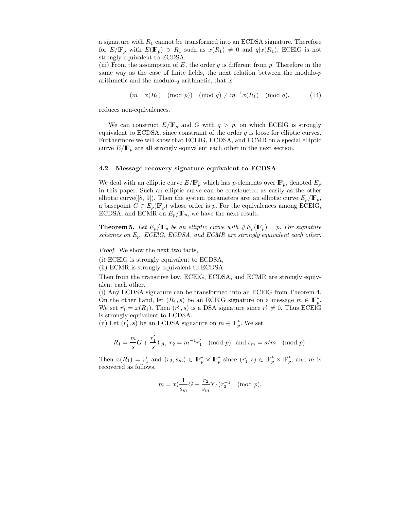a signature with  $R_1$  cannot be transformed into an ECDSA signature. Therefore for  $E/\mathbb{F}_p$  with  $E(\mathbb{F}_p) \ni R_1$  such as  $x(R_1) \neq 0$  and  $q|x(R_1)$ , ECEIG is not strongly equivalent to ECDSA strongly equivalent to ECDSA.

(iii) From the assumption of  $E$ , the order  $q$  is different from  $p$ . Therefore in the same way as the case of finite fields, the next relation between the modulo- $p$ arithmetic and the modulo- $q$  arithmetic, that is

$$
(m^{-1}x(R_1) \pmod{p}) \pmod{q} \neq m^{-1}x(R_1) \pmod{q},
$$
 (14)

reduces non-equivalences.

We can construct  $E/\mathbb{F}_p$  and G with  $q>p$ , on which ECEIG is strongly equivalent to ECDSA, since constraint of the order  $q$  is loose for elliptic curves. Furthermore we will show that ECElG, ECDSA, and ECMR on a special elliptic curve  $E/\mathbb{F}_p$  are all strongly equivalent each other in the next section.

#### **4.2 Message recovery signature equivalent to ECDSA**

We deal with an elliptic curve  $E/\mathbb{F}_p$  which has p-elements over  $\mathbb{F}_p$ , denoted  $E_p$ in this paper. Such an elliptic curve can be constructed as easily as the other elliptic curve([8, 9]). Then the system parameters are: an elliptic curve  $E_p/\mathbb{F}_p$ , a basepoint  $G \in E_p(\mathbb{F}_p)$  whose order is p. For the equivalences among ECEIG, ECDSA, and ECMR on  $E_p/\mathbb{F}_p$ , we have the next result.

**Theorem 5.** Let  $E_p/\mathbb{F}_p$  be an elliptic curve with  $\#E_p(\mathbb{F}_p) = p$ . For signature *schemes on* <sup>E</sup>*<sup>p</sup>, ECElG, ECDSA, and ECMR are strongly equivalent each other.*

*Proof.* We show the next two facts,

(i) ECElG is strongly equivalent to ECDSA,

(ii) ECMR is strongly equivalent to ECDSA.

Then from the transitive law, ECElG, ECDSA, and ECMR are strongly equivalent each other.

(i) Any ECDSA signature can be transformed into an ECElG from Theorem 4. On the other hand, let  $(R_1, s)$  be an ECEIG signature on a message  $m \in \mathbb{F}_p^*$ .<br>We set  $r' = r(R_1)$  Then  $(r' \mid s)$  is a DSA signature since  $r' \neq 0$  Thus ECEIG We set  $r'_1 = x(R_1)$ . Then  $(r'_1, s)$  is a DSA signature since  $r'_1 \neq 0$ . Thus ECEIG is strongly equivalent to ECDSA is strongly equivalent to ECDSA.

(ii) Let  $(r'_1, s)$  be an ECDSA signature on  $m \in \mathbb{F}_p^*$ . We set

$$
R_1 = \frac{m}{s}G + \frac{r'_1}{s}Y_A
$$
,  $r_2 = m^{-1}r'_1 \pmod{p}$ , and  $s_m = s/m \pmod{p}$ .

Then  $x(R_1) = r'_1$  and  $(r_2, s_m) \in \mathbb{F}_p^* \times \mathbb{F}_p^*$  since  $(r'_1, s) \in \mathbb{F}_p^* \times \mathbb{F}_p^*$ , and m is recovered as follows recovered as follows,

$$
m = x(\frac{1}{s_m}G + \frac{r_2}{s_m}Y_A)r_2^{-1}
$$
 (mod *p*).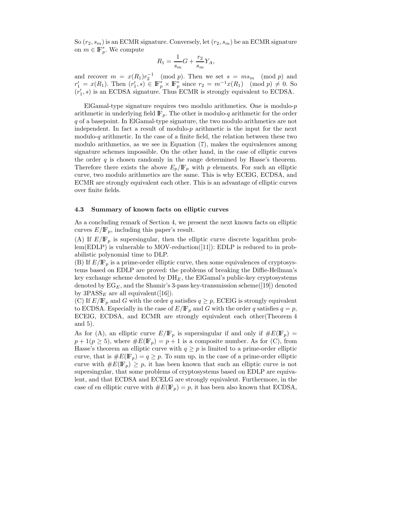So  $(r_2, s_m)$  is an ECMR signature. Conversely, let  $(r_2, s_m)$  be an ECMR signature on  $m \in \mathbb{F}_p^*$ . We compute

$$
R_1 = \frac{1}{s_m}G + \frac{r_2}{s_m}Y_A,
$$

and recover  $m = x(R_1)r_2^{-1} \pmod{p}$ . Then we set  $s = ms_m \pmod{p}$  and  $r' = x(R_1)$ . Then  $(r' \circ) \in \mathbb{F}^* \times \mathbb{F}^*$  since  $x_2 = m^{-1}x(R_1) \pmod{p} \neq 0$ . So  $r'_1 = x(R_1)$ . Then  $(r'_1, s) \in \mathbb{F}_p^* \times \mathbb{F}_p^*$  since  $r_2 = m^{-1}x(R_1) \pmod{p} \neq 0$ . So  $(r'_1, s)$  is an ECDSA signature. Thus ECMB is strongly equivalent to ECDSA  $(r'_1, s)$  is an ECDSA signature. Thus ECMR is strongly equivalent to ECDSA.

ElGamal-type signature requires two modulo arithmetics. One is modulo- $p$ arithmetic in underlying field  $\mathbb{F}_p$ . The other is modulo-q arithmetic for the order q of a basepoint. In ElGamal-type signature, the two modulo arithmetics are not independent. In fact a result of modulo-p arithmetic is the input for the next modulo-q arithmetic. In the case of a finite field, the relation between these two modulo arithmetics, as we see in Equation (7), makes the equivalences among signature schemes impossible. On the other hand, in the case of elliptic curves the order  $q$  is chosen randomly in the range determined by Hasse's theorem. Therefore there exists the above  $E_p/\mathbb{F}_p$  with p elements. For such an elliptic curve, two modulo arithmetics are the same. This is why ECElG, ECDSA, and ECMR are strongly equivalent each other. This is an advantage of elliptic curves over finite fields.

#### **4.3 Summary of known facts on elliptic curves**

As a concluding remark of Section 4, we present the next known facts on elliptic curves  $E/\mathbb{F}_p$ , including this paper's result.

(A) If  $E/\mathbb{F}_p$  is supersingular, then the elliptic curve discrete logarithm problem(EDLP) is vulnerable to MOV-reduction([11]): EDLP is reduced to in probabilistic polynomial time to DLP.

(B) If  $E/\mathbb{F}_p$  is a prime-order elliptic curve, then some equivalences of cryptosystems based on EDLP are proved: the problems of breaking the Diffie-Hellman's key exchange scheme denoted by DH*<sup>E</sup>* , the ElGamal's public-key cryptosystems denoted by  $EG_E$ , and the Shamir's 3-pass key-transmission scheme $([19])$  denoted by  $3PASS_E$  are all equivalent([16]).

(C) If  $E/\mathbb{F}_p$  and G with the order q satisfies  $q \geq p$ , ECEIG is strongly equivalent to ECDSA. Especially in the case of  $E/\mathbb{F}_p$  and G with the order q satisfies  $q = p$ , ECElG, ECDSA, and ECMR are strongly equivalent each other(Theorem 4 and 5).

As for (A), an elliptic curve  $E/\mathbb{F}_p$  is supersingular if and only if  $\#E(\mathbb{F}_p)$  =  $p+1(p \geq 5)$ , where  $\#E(\mathbb{F}_p) = p+1$  is a composite number. As for (C), from Hasse's theorem an elliptic curve with  $q \geq p$  is limited to a prime-order elliptic curve, that is  $\#E(\mathbb{F}_p) = q \geq p$ . To sum up, in the case of a prime-order elliptic curve with  $\#E(\mathbb{F}_p) \geq p$ , it has been known that such an elliptic curve is not supersingular, that some problems of cryptosystems based on EDLP are equivalent, and that ECDSA and ECELG are strongly equivalent. Furthermore, in the case of en elliptic curve with  $\#E(\mathbb{F}_p) = p$ , it has been also known that ECDSA,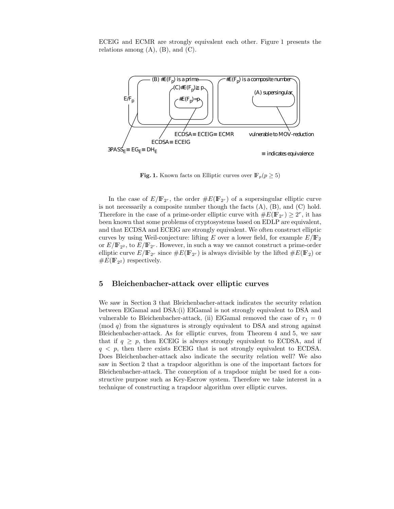ECElG and ECMR are strongly equivalent each other. Figure 1 presents the relations among  $(A)$ ,  $(B)$ , and  $(C)$ .



**Fig. 1.** Known facts on Elliptic curves over  $\mathbb{F}_p(p \geq 5)$ 

In the case of  $E/\mathbb{F}_{2r}$ , the order  $\#E(\mathbb{F}_{2r})$  of a supersingular elliptic curve is not necessarily a composite number though the facts  $(A)$ ,  $(B)$ , and  $(C)$  hold. Therefore in the case of a prime-order elliptic curve with  $\#E(\mathbb{F}_{2^r}) \geq 2^r$ , it has been known that some problems of cryptosystems based on EDLP are equivalent, and that ECDSA and ECElG are strongly equivalent. We often construct elliptic curves by using Weil-conjecture: lifting E over a lower field, for example  $E/\mathbb{F}_2$ or  $E/\mathbb{F}_{2^2}$ , to  $E/\mathbb{F}_{2^r}$ . However, in such a way we cannot construct a prime-order elliptic curve  $E/\mathbb{F}_{2r}$  since  $\#E(\mathbb{F}_{2r})$  is always divisible by the lifted  $\#E(\mathbb{F}_{2})$  or  $\#E(\mathbb{F}_{2^2})$  respectively.

# **5 Bleichenbacher-attack over elliptic curves**

We saw in Section 3 that Bleichenbacher-attack indicates the security relation between ElGamal and DSA:(i) ElGamal is not strongly equivalent to DSA and vulnerable to Bleichenbacher-attack, (ii) ElGamal removed the case of  $r_1 = 0$  $\pmod{q}$  from the signatures is strongly equivalent to DSA and strong against Bleichenbacher-attack. As for elliptic curves, from Theorem 4 and 5, we saw that if  $q \geq p$ , then ECEIG is always strongly equivalent to ECDSA, and if  $q \leq p$ , then there exists ECEIG that is not strongly equivalent to ECDSA. Does Bleichenbacher-attack also indicate the security relation well? We also saw in Section 2 that a trapdoor algorithm is one of the important factors for Bleichenbacher-attack. The conception of a trapdoor might be used for a constructive purpose such as Key-Escrow system. Therefore we take interest in a technique of constructing a trapdoor algorithm over elliptic curves.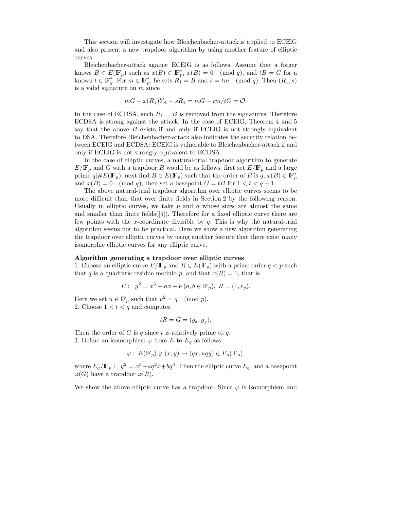This section will investigate how Bleichenbacher-attack is applied to ECElG and also present a new trapdoor algorithm by using another feature of elliptic curves.

Bleichenbacher-attack against ECElG is as follows. Assume that a forger knows  $B \in E(\mathbb{F}_p)$  such as  $x(B) \in \mathbb{F}_p^*$ ,  $x(B) = 0 \pmod{q}$ , and  $tB = G$  for a known  $t \in \mathbb{F}^*$ . For  $m \in \mathbb{F}^*$  he sets  $B_t = B$  and  $s = tm \pmod{q}$ . Then  $(B_t, s)$ known  $t \in \mathbb{F}_q^*$ . For  $m \in \mathbb{F}_p^*$ , he sets  $R_1 = B$  and  $s = tm \pmod{q}$ . Then  $(R_1, s)$ is a valid signature on  $m$  since

$$
mG + x(R_1)Y_A - sR_1 = mG - tm/tG = O.
$$

In the case of ECDSA, such  $R_1 = B$  is removed from the signatures. Therefore ECDSA is strong against the attack. In the case of ECElG, Theorem 4 and 5 say that the above  $B$  exists if and only if ECEIG is not strongly equivalent to DSA. Therefore Bleichenbacher-attack also indicates the security relation between ECElG and ECDSA: ECElG is vulnerable to Bleichenbacher-attack if and only if ECElG is not strongly equivalent to ECDSA.

In the case of elliptic curves, a natural-trial trapdoor algorithm to generate  $E/\mathbb{F}_p$  and G with a trapdoor B would be as follows: first set  $E/\mathbb{F}_p$  and a large prime  $q|\#E(\mathbb{F}_p)$ , next find  $B \in E(\mathbb{F}_p)$  such that the order of B is  $q, x(B) \in \mathbb{F}_p^*$ <br>and  $x(B) = 0$  (mod g) then set a basement  $G = tB$  for  $1 \le t \le q-1$ and  $x(B) = 0 \pmod{q}$ , then set a basepoint  $G = tB$  for  $1 < t < q - 1$ .

The above natural-trial trapdoor algorithm over elliptic curves seems to be more difficult than that over finite fields in Section 2 by the following reason. Usually in elliptic curves, we take  $p$  and  $q$  whose sizes are almost the same and smaller than finite fields $([5])$ . Therefore for a fixed elliptic curve there are few points with the x-coordinate divisible by  $q$ . This is why the natural-trial algorithm seems not to be practical. Here we show a new algorithm generating the trapdoor over elliptic curves by using another feature that there exist many isomorphic elliptic curves for any elliptic curve.

#### **Algorithm generating a trapdoor over elliptic curves**

1. Choose an elliptic curve  $E/\mathbb{F}_p$  and  $R \in E(\mathbb{F}_p)$  with a prime order  $q < p$  such that q is a quadratic residue modulo p, and that  $x(R) = 1$ , that is

$$
E: y2 = x3 + ax + b (a, b \in \mathbb{F}_p), R = (1, r_y).
$$

Here we set  $u \in \mathbb{F}_p$  such that  $u^2 = q \pmod{p}$ . 2. Choose  $1 < t < q$  and computes

$$
tR = G = (g_x, g_y).
$$

Then the order of G is q since t is relatively prime to q. 3. Define an isomorphism  $\varphi$  from E to  $E_q$  as follows

$$
\varphi: E(\mathbb{F}_p) \ni (x, y) \to (qx, uqy) \in E_q(\mathbb{F}_p),
$$

where  $E_q/\mathbb{F}_p$ :  $y^2 = x^3 + aq^2x + bq^3$ . Then the elliptic curve  $E_q$ , and a basepoint  $\varphi(G)$  have a trapdoor  $\varphi(R)$ .

We show the above elliptic curve has a trapdoor. Since  $\varphi$  is isomorphism and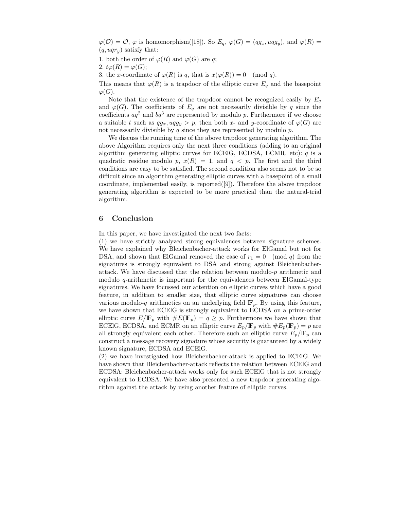$\varphi(\mathcal{O}) = \mathcal{O}, \varphi$  is homomorphism([18]). So  $E_q$ ,  $\varphi(G) = (qg_x, uqg_y)$ , and  $\varphi(R) =$  $(q, uqr_y)$  satisfy that:

1. both the order of  $\varphi(R)$  and  $\varphi(G)$  are q;

2.  $t\varphi(R) = \varphi(G);$ 

3. the x-coordinate of  $\varphi(R)$  is q, that is  $x(\varphi(R)) = 0 \pmod{q}$ .

This means that  $\varphi(R)$  is a trapdoor of the elliptic curve  $E_q$  and the basepoint  $\varphi(G).$ 

Note that the existence of the trapdoor cannot be recognized easily by  $E_q$ and  $\varphi(G)$ . The coefficients of  $E_q$  are not necessarily divisible by q since the coefficients  $aq^2$  and  $bq^3$  are represented by modulo p. Furthermore if we choose a suitable t such as  $qg_x, uqg_y > p$ , then both x- and y-coordinate of  $\varphi(G)$  are not necessarily divisible by  $q$  since they are represented by modulo  $p$ .

We discuss the running time of the above trapdoor generating algorithm. The above Algorithm requires only the next three conditions (adding to an original algorithm generating elliptic curves for ECEIG, ECDSA, ECMR, etc):  $q$  is a quadratic residue modulo p,  $x(R) = 1$ , and  $q \leq p$ . The first and the third conditions are easy to be satisfied. The second condition also seems not to be so difficult since an algorithm generating elliptic curves with a basepoint of a small coordinate, implemented easily, is reported([9]). Therefore the above trapdoor generating algorithm is expected to be more practical than the natural-trial algorithm.

# **6 Conclusion**

In this paper, we have investigated the next two facts:

(1) we have strictly analyzed strong equivalences between signature schemes. We have explained why Bleichenbacher-attack works for ElGamal but not for DSA, and shown that ElGamal removed the case of  $r_1 = 0 \pmod{q}$  from the signatures is strongly equivalent to DSA and strong against Bleichenbacherattack. We have discussed that the relation between modulo-p arithmetic and modulo  $q$ -arithmetic is important for the equivalences between ElGamal-type signatures. We have focussed our attention on elliptic curves which have a good feature, in addition to smaller size, that elliptic curve signatures can choose various modulo-q arithmetics on an underlying field  $\mathbb{F}_p$ . By using this feature, we have shown that ECElG is strongly equivalent to ECDSA on a prime-order elliptic curve  $E/\mathbb{F}_p$  with  $\#E(\mathbb{F}_p) = q \geq p$ . Furthermore we have shown that ECEIG, ECDSA, and ECMR on an elliptic curve  $E_p/\mathbb{F}_p$  with  $\#E_p(\mathbb{F}_p) = p$  are all strongly equivalent each other. Therefore such an elliptic curve  $E_p/\mathbb{F}_p$  can construct a message recovery signature whose security is guaranteed by a widely known signature, ECDSA and ECElG.

(2) we have investigated how Bleichenbacher-attack is applied to ECElG. We have shown that Bleichenbacher-attack reflects the relation between ECElG and ECDSA: Bleichenbacher-attack works only for such ECElG that is not strongly equivalent to ECDSA. We have also presented a new trapdoor generating algorithm against the attack by using another feature of elliptic curves.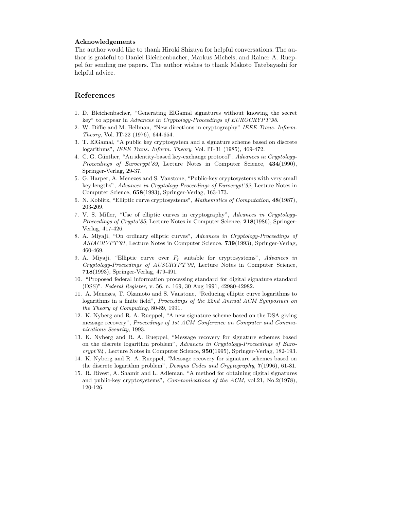#### **Acknowledgements**

The author would like to thank Hiroki Shizuya for helpful conversations. The author is grateful to Daniel Bleichenbacher, Markus Michels, and Rainer A. Rueppel for sending me papers. The author wishes to thank Makoto Tatebayashi for helpful advice.

# **References**

- 1. D. Bleichenbacher, "Generating ElGamal signatures without knowing the secret key" to appear in *Advances in Cryptology-Proceedings of EUROCRYPT'96*.
- 2. W. Diffie and M. Hellman, "New directions in cryptography" *IEEE Trans. Inform. Theory*, Vol. IT-22 (1976), 644-654.
- 3. T. ElGamal, "A public key cryptosystem and a signature scheme based on discrete logarithms", *IEEE Trans. Inform. Theory*, Vol. IT-31 (1985), 469-472.
- 4. C. G. G¨unther, "An identity-based key-exchange protocol", *Advances in Cryptology-Proceedings of Eurocrypt'89*, Lecture Notes in Computer Science, **434**(1990), Springer-Verlag, 29-37.
- 5. G. Harper, A. Menezes and S. Vanstone, "Public-key cryptosystems with very small key lengths", *Advances in Cryptology-Proceedings of Eurocrypt'92*, Lecture Notes in Computer Science, **658**(1993), Springer-Verlag, 163-173.
- 6. N. Koblitz, "Elliptic curve cryptosystems", *Mathematics of Computation*, **48**(1987), 203-209.
- 7. V. S. Miller, "Use of elliptic curves in cryptography", *Advances in Cryptology-Proceedings of Crypto'85*, Lecture Notes in Computer Science, **218**(1986), Springer-Verlag, 417-426.
- 8. A. Miyaji, "On ordinary elliptic curves", *Advances in Cryptology-Proceedings of ASIACRYPT'91*, Lecture Notes in Computer Science, **739**(1993), Springer-Verlag, 460-469.
- 9. A. Miyaji, "Elliptic curve over *F<sup>p</sup>* suitable for cryptosystems", *Advances in Cryptology-Proceedings of AUSCRYPT'92*, Lecture Notes in Computer Science, **718**(1993), Springer-Verlag, 479-491.
- 10. "Proposed federal information processing standard for digital signature standard (DSS)", *Federal Register*, v. 56, n. 169, 30 Aug 1991, 42980-42982.
- 11. A. Menezes, T. Okamoto and S. Vanstone, "Reducingelliptic curve logarithms to logarithms in a finite field", *Proceedings of the 22nd Annual ACM Symposium on the Theory of Computing*, 80-89, 1991.
- 12. K. Nyberg and R. A. Rueppel, "A new signature scheme based on the DSA giving message recovery", *Proceedings of 1st ACM Conference on Computer and Communications Security*, 1993.
- 13. K. Nyberg and R. A. Rueppel, "Message recovery for signature schemes based on the discrete logarithm problem", *Advances in Cryptology-Proceedings of Eurocrypt'94* , Lecture Notes in Computer Science, **950**(1995), Springer-Verlag, 182-193.
- 14. K. Nyberg and R. A. Rueppel, "Message recovery for signature schemes based on the discrete logarithm problem", *Designs Codes and Cryptography*, **7**(1996), 61-81.
- 15. R. Rivest, A. Shamir and L. Adleman, "A method for obtaining digital signatures and public-key cryptosystems", *Communications of the ACM*, vol.21, No.2(1978), 120-126.